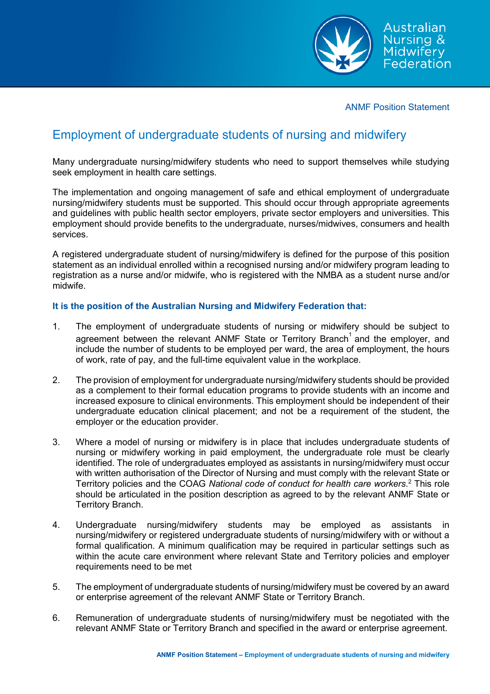

ANMF Position Statement

## Employment of undergraduate students of nursing and midwifery

Many undergraduate nursing/midwifery students who need to support themselves while studying seek employment in health care settings.

The implementation and ongoing management of safe and ethical employment of undergraduate nursing/midwifery students must be supported. This should occur through appropriate agreements and guidelines with public health sector employers, private sector employers and universities. This employment should provide benefits to the undergraduate, nurses/midwives, consumers and health services.

A registered undergraduate student of nursing/midwifery is defined for the purpose of this position statement as an individual enrolled within a recognised nursing and/or midwifery program leading to registration as a nurse and/or midwife, who is registered with the NMBA as a student nurse and/or midwife.

## **It is the position of the Australian Nursing and Midwifery Federation that:**

- 1. The employment of undergraduate students of nursing or midwifery should be subject to agreement between the relevant ANMF State or Territory Branch<sup>1</sup> and the employer, and include the number of students to be employed per ward, the area of employment, the hours of work, rate of pay, and the full-time equivalent value in the workplace.
- 2. The provision of employment for undergraduate nursing/midwifery students should be provided as a complement to their formal education programs to provide students with an income and increased exposure to clinical environments. This employment should be independent of their undergraduate education clinical placement; and not be a requirement of the student, the employer or the education provider.
- 3. Where a model of nursing or midwifery is in place that includes undergraduate students of nursing or midwifery working in paid employment, the undergraduate role must be clearly identified. The role of undergraduates employed as assistants in nursing/midwifery must occur with written authorisation of the Director of Nursing and must comply with the relevant State or Territory policies and the COAG *National code of conduct for health care workers*. <sup>2</sup> This role should be articulated in the position description as agreed to by the relevant ANMF State or Territory Branch.
- 4. Undergraduate nursing/midwifery students may be employed as assistants in nursing/midwifery or registered undergraduate students of nursing/midwifery with or without a formal qualification. A minimum qualification may be required in particular settings such as within the acute care environment where relevant State and Territory policies and employer requirements need to be met
- 5. The employment of undergraduate students of nursing/midwifery must be covered by an award or enterprise agreement of the relevant ANMF State or Territory Branch.
- 6. Remuneration of undergraduate students of nursing/midwifery must be negotiated with the relevant ANMF State or Territory Branch and specified in the award or enterprise agreement.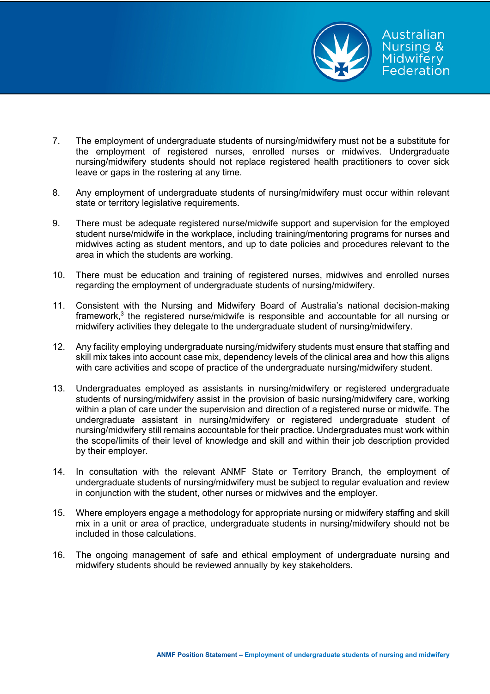

- 7. The employment of undergraduate students of nursing/midwifery must not be a substitute for the employment of registered nurses, enrolled nurses or midwives. Undergraduate nursing/midwifery students should not replace registered health practitioners to cover sick leave or gaps in the rostering at any time.
- 8. Any employment of undergraduate students of nursing/midwifery must occur within relevant state or territory legislative requirements.
- 9. There must be adequate registered nurse/midwife support and supervision for the employed student nurse/midwife in the workplace, including training/mentoring programs for nurses and midwives acting as student mentors, and up to date policies and procedures relevant to the area in which the students are working.
- 10. There must be education and training of registered nurses, midwives and enrolled nurses regarding the employment of undergraduate students of nursing/midwifery.
- 11. Consistent with the Nursing and Midwifery Board of Australia's national decision-making framework, <sup>3</sup> the registered nurse/midwife is responsible and accountable for all nursing or midwifery activities they delegate to the undergraduate student of nursing/midwifery.
- 12. Any facility employing undergraduate nursing/midwifery students must ensure that staffing and skill mix takes into account case mix, dependency levels of the clinical area and how this aligns with care activities and scope of practice of the undergraduate nursing/midwifery student.
- 13. Undergraduates employed as assistants in nursing/midwifery or registered undergraduate students of nursing/midwifery assist in the provision of basic nursing/midwifery care, working within a plan of care under the supervision and direction of a registered nurse or midwife. The undergraduate assistant in nursing/midwifery or registered undergraduate student of nursing/midwifery still remains accountable for their practice. Undergraduates must work within the scope/limits of their level of knowledge and skill and within their job description provided by their employer.
- 14. In consultation with the relevant ANMF State or Territory Branch, the employment of undergraduate students of nursing/midwifery must be subject to regular evaluation and review in conjunction with the student, other nurses or midwives and the employer.
- 15. Where employers engage a methodology for appropriate nursing or midwifery staffing and skill mix in a unit or area of practice, undergraduate students in nursing/midwifery should not be included in those calculations.
- 16. The ongoing management of safe and ethical employment of undergraduate nursing and midwifery students should be reviewed annually by key stakeholders.